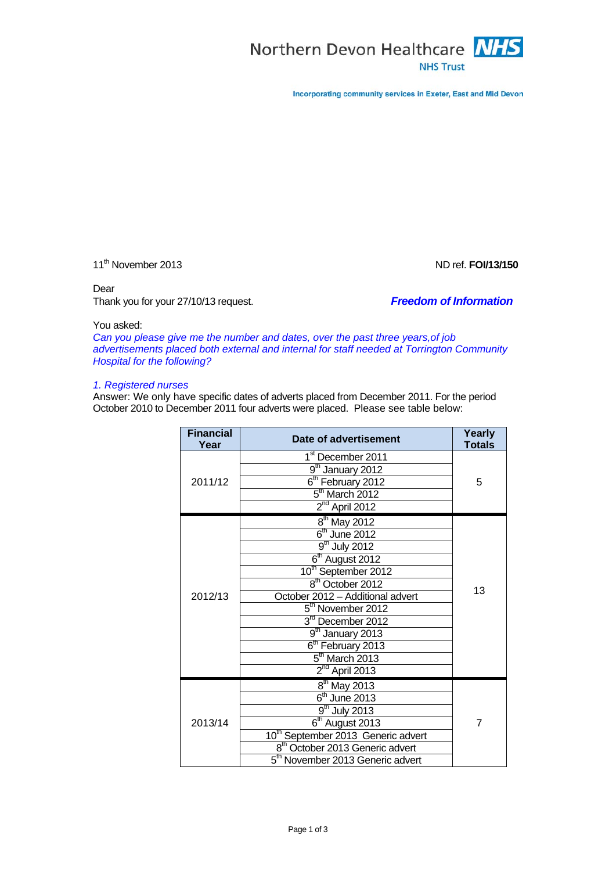

Incorporating community services in Exeter, East and Mid Devon

11<sup>th</sup> November 2013 **ND** ref. **FOI/13/150** 

### Dear

Thank you for your 27/10/13 request. *Freedom of Information*

# You asked:

*Can you please give me the number and dates, over the past three years,of job advertisements placed both external and internal for staff needed at Torrington Community Hospital for the following?*

### *1. Registered nurses*

Answer: We only have specific dates of adverts placed from December 2011. For the period October 2010 to December 2011 four adverts were placed. Please see table below:

| <b>Financial</b><br>Year | Date of advertisement                          | Yearly<br><b>Totals</b> |
|--------------------------|------------------------------------------------|-------------------------|
| 2011/12                  | 1 <sup>st</sup> December 2011                  | 5                       |
|                          | 9 <sup>th</sup> January 2012                   |                         |
|                          | 6 <sup>th</sup> February 2012                  |                         |
|                          | $5th$ March 2012                               |                         |
|                          | $2nd$ April 2012                               |                         |
| 2012/13                  | $8th$ May 2012                                 | 13                      |
|                          | $6th$ June 2012                                |                         |
|                          | $9th$ July 2012                                |                         |
|                          | $6th$ August 2012                              |                         |
|                          | 10 <sup>th</sup> September 2012                |                         |
|                          | 8 <sup>th</sup> October 2012                   |                         |
|                          | October 2012 - Additional advert               |                         |
|                          | $5th$ November 2012                            |                         |
|                          | $3rd$ December 2012                            |                         |
|                          | $9th$ January 2013                             |                         |
|                          | 6 <sup>th</sup> February 2013                  |                         |
|                          | $5th$ March 2013                               |                         |
|                          | $2nd$ April 2013                               |                         |
| 2013/14                  | $8th$ May 2013                                 | 7                       |
|                          | $6th$ June 2013                                |                         |
|                          | $9th$ July 2013                                |                         |
|                          | $6th$ August 2013                              |                         |
|                          | 10 <sup>th</sup> September 2013 Generic advert |                         |
|                          | 8 <sup>th</sup> October 2013 Generic advert    |                         |
|                          | 5 <sup>th</sup> November 2013 Generic advert   |                         |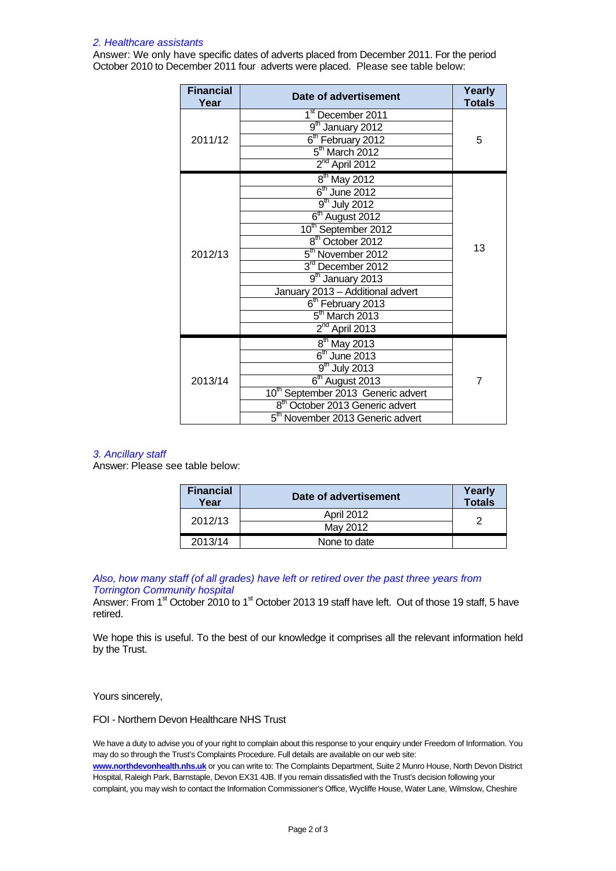# *2. Healthcare assistants*

Answer: We only have specific dates of adverts placed from December 2011. For the period October 2010 to December 2011 four adverts were placed. Please see table below:

| <b>Financial</b><br>Year | Date of advertisement                          | Yearly<br><b>Totals</b> |
|--------------------------|------------------------------------------------|-------------------------|
| 2011/12                  | 1 <sup>st</sup> December 2011                  | 5                       |
|                          | 9 <sup>th</sup> January 2012                   |                         |
|                          | 6 <sup>th</sup> February 2012                  |                         |
|                          | $5th$ March 2012                               |                         |
|                          | $2nd$ April 2012                               |                         |
|                          | $8th$ May 2012                                 | 13                      |
|                          | $6th$ June 2012                                |                         |
|                          | $9th$ July 2012                                |                         |
|                          | $6th$ August 2012                              |                         |
|                          | 10 <sup>th</sup> September 2012                |                         |
| 2012/13                  | 8 <sup>th</sup> October 2012                   |                         |
|                          | 5 <sup>th</sup> November 2012                  |                         |
|                          | 3rd December 2012                              |                         |
|                          | $9th$ January 2013                             |                         |
|                          | January 2013 - Additional advert               |                         |
|                          | 6 <sup>th</sup> February 2013                  |                         |
|                          | $5th$ March 2013                               |                         |
|                          | $2nd$ April 2013                               |                         |
| 2013/14                  | $8th$ May 2013                                 | 7                       |
|                          | $6th$ June 2013                                |                         |
|                          | $9th$ July 2013                                |                         |
|                          | $6th$ August 2013                              |                         |
|                          | 10 <sup>th</sup> September 2013 Generic advert |                         |
|                          | 8 <sup>th</sup> October 2013 Generic advert    |                         |
|                          | 5 <sup>th</sup> November 2013 Generic advert   |                         |

# *3. Ancillary staff*

Answer: Please see table below:

| <b>Financial</b><br>Year | Date of advertisement | Yearly<br><b>Totals</b> |
|--------------------------|-----------------------|-------------------------|
| 2012/13                  | <b>April 2012</b>     | 2                       |
|                          | May 2012              |                         |
| 2013/14                  | None to date          |                         |

*Also, how many staff (of all grades) have left or retired over the past three years from Torrington Community hospital*

Answer: From 1<sup>st</sup> October 2010 to 1<sup>st</sup> October 2013 19 staff have left. Out of those 19 staff, 5 have retired.

We hope this is useful. To the best of our knowledge it comprises all the relevant information held by the Trust.

Yours sincerely,

FOI - Northern Devon Healthcare NHS Trust

We have a duty to advise you of your right to complain about this response to your enquiry under Freedom of Information. You may do so through the Trust's Complaints Procedure. Full details are available on our web site: **[www.northdevonhealth.nhs.uk](http://www.northdevonhealth.nhs.uk/)** or you can write to: The Complaints Department, Suite 2 Munro House, North Devon District Hospital, Raleigh Park, Barnstaple, Devon EX31 4JB. If you remain dissatisfied with the Trust's decision following your complaint, you may wish to contact the Information Commissioner's Office, Wycliffe House, Water Lane, Wilmslow, Cheshire